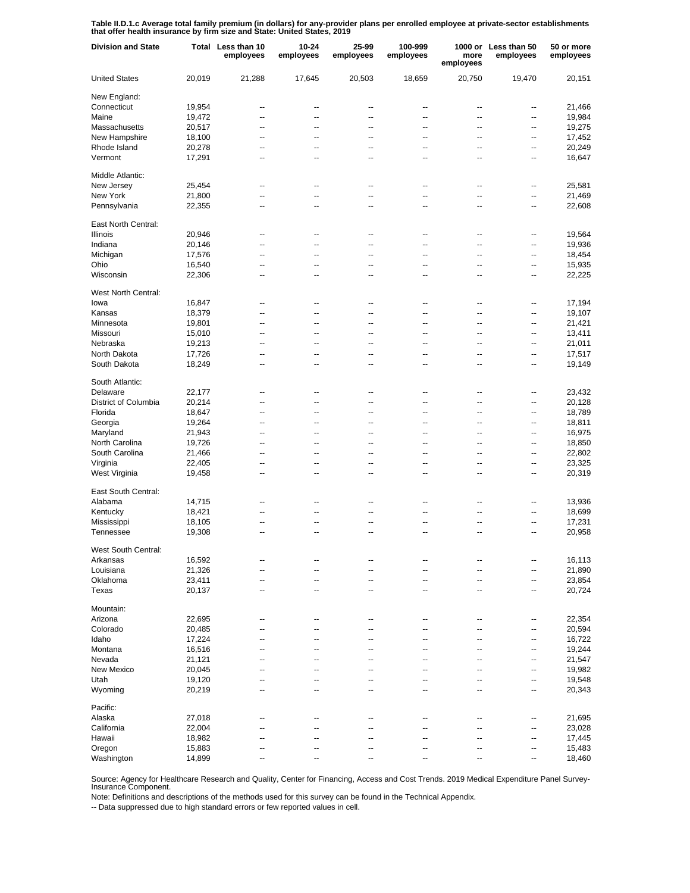**Table II.D.1.c Average total family premium (in dollars) for any-provider plans per enrolled employee at private-sector establishments that offer health insurance by firm size and State: United States, 2019**

| <b>Division and State</b> |        | Total Less than 10<br>employees | 10-24<br>employees | 25-99<br>employees | 100-999<br>employees     | more<br>employees        | 1000 or Less than 50<br>employees | 50 or more<br>employees |
|---------------------------|--------|---------------------------------|--------------------|--------------------|--------------------------|--------------------------|-----------------------------------|-------------------------|
| <b>United States</b>      | 20,019 | 21,288                          | 17,645             | 20,503             | 18,659                   | 20,750                   | 19,470                            | 20,151                  |
| New England:              |        |                                 |                    |                    |                          |                          |                                   |                         |
| Connecticut               | 19,954 | --                              | --                 | --                 | $\overline{\phantom{a}}$ | --                       | --                                | 21,466                  |
| Maine                     | 19,472 | $\overline{\phantom{a}}$        | $\overline{a}$     | --                 | $\overline{\phantom{a}}$ | $\overline{\phantom{a}}$ | --                                | 19,984                  |
| Massachusetts             | 20,517 | $\overline{a}$                  | --                 | --                 | $\overline{\phantom{a}}$ | $\overline{\phantom{a}}$ | $\overline{a}$                    | 19,275                  |
| New Hampshire             | 18,100 | $\overline{\phantom{a}}$        | --                 | --                 | $\overline{\phantom{a}}$ | $\overline{\phantom{a}}$ | $\overline{\phantom{a}}$          | 17,452                  |
| Rhode Island              | 20,278 | $\overline{a}$                  | --                 | --                 | $\overline{\phantom{a}}$ | $\overline{\phantom{a}}$ | $\overline{a}$                    | 20,249                  |
| Vermont                   | 17,291 | $\overline{\phantom{a}}$        | --                 | --                 | $\overline{\phantom{a}}$ | $\overline{\phantom{a}}$ | $\overline{\phantom{a}}$          | 16,647                  |
| Middle Atlantic:          |        |                                 |                    |                    |                          |                          |                                   |                         |
| New Jersey                | 25,454 | $\overline{a}$                  | $\overline{a}$     | --                 | $\overline{\phantom{a}}$ | $\overline{a}$           | --                                | 25,581                  |
| New York                  | 21,800 | Ξ.                              | --                 | $\overline{a}$     | --                       | $\overline{a}$           | --                                | 21,469                  |
| Pennsylvania              | 22,355 | $\overline{a}$                  | --                 | $\overline{a}$     | --                       |                          | --                                | 22,608                  |
| East North Central:       |        |                                 |                    |                    |                          |                          |                                   |                         |
| <b>Illinois</b>           | 20,946 | ۰.                              | --                 | --                 | ۰.                       | --                       | --                                | 19,564                  |
| Indiana                   | 20,146 | --                              | --                 | --                 | --                       | --                       | --                                | 19,936                  |
| Michigan                  | 17,576 | --                              | --                 | --                 | --                       | --                       | --                                | 18,454                  |
| Ohio                      | 16,540 | --                              | --                 | --                 | --                       | --                       | --                                | 15,935                  |
| Wisconsin                 | 22,306 | --                              | --                 | --                 | --                       | --                       | --                                | 22,225                  |
|                           |        |                                 |                    |                    |                          |                          |                                   |                         |
| West North Central:       |        |                                 |                    |                    |                          |                          |                                   |                         |
| lowa                      | 16,847 | $\overline{\phantom{a}}$        | --                 | --                 | $\overline{\phantom{a}}$ | $\overline{\phantom{a}}$ | --                                | 17,194                  |
| Kansas                    | 18,379 | $\overline{\phantom{a}}$        | $\overline{a}$     | --                 | $\overline{\phantom{a}}$ | $\overline{\phantom{a}}$ | --                                | 19,107                  |
| Minnesota                 | 19,801 | $\overline{a}$                  | $\overline{a}$     | --                 | $\overline{\phantom{a}}$ | $\overline{\phantom{a}}$ | --                                | 21,421                  |
| Missouri                  | 15,010 | $\overline{\phantom{a}}$        | --                 | --                 | $\overline{\phantom{a}}$ | $\overline{\phantom{a}}$ | $\overline{\phantom{a}}$          | 13,411                  |
| Nebraska                  | 19,213 | $\overline{a}$                  | --                 | --                 | $\overline{\phantom{a}}$ | $\overline{\phantom{a}}$ | $\overline{a}$                    | 21,011                  |
| North Dakota              | 17,726 | $\overline{\phantom{a}}$        | --                 | --                 | $\overline{\phantom{a}}$ | $\overline{\phantom{a}}$ | $\overline{\phantom{a}}$          | 17,517                  |
| South Dakota              | 18,249 | $\overline{a}$                  | --                 | --                 | $\overline{\phantom{a}}$ | $\overline{\phantom{a}}$ | $\overline{a}$                    | 19,149                  |
| South Atlantic:           |        |                                 |                    |                    |                          |                          |                                   |                         |
| Delaware                  | 22,177 | --                              | --                 | --                 | --                       | --                       | --                                | 23,432                  |
| District of Columbia      | 20,214 | $\overline{a}$                  | --                 | $\overline{a}$     | Ξ.                       |                          | --                                | 20,128                  |
| Florida                   | 18,647 | $\overline{a}$                  | --                 | $\overline{a}$     | --                       | $\overline{a}$           | --                                | 18,789                  |
| Georgia                   | 19,264 | $\overline{a}$                  | --                 | $\overline{a}$     | --                       | $\overline{a}$           | --                                | 18,811                  |
| Maryland                  | 21,943 | $\overline{a}$                  | --                 | $\overline{a}$     | --                       | $\overline{a}$           | --                                | 16,975                  |
|                           |        | $\overline{a}$                  | --                 | $\overline{a}$     | --                       | $\overline{a}$           | --                                |                         |
| North Carolina            | 19,726 |                                 |                    |                    |                          |                          |                                   | 18,850                  |
| South Carolina            | 21,466 | $\overline{a}$                  | --                 | $\overline{a}$     | --                       | $\overline{a}$           | --                                | 22,802                  |
| Virginia                  | 22,405 | $\overline{a}$                  | Ξ.                 | $\overline{a}$     | --                       | $\overline{a}$           | --                                | 23,325                  |
| West Virginia             | 19,458 | Ξ.                              | --                 | $\overline{a}$     | --                       | $\overline{a}$           | --                                | 20,319                  |
| East South Central:       |        |                                 |                    |                    |                          |                          |                                   |                         |
| Alabama                   | 14,715 | ۰.                              | --                 | --                 | --                       |                          | -−                                | 13,936                  |
| Kentucky                  | 18,421 | --                              | --                 |                    | --                       |                          | --                                | 18,699                  |
| Mississippi               | 18,105 | --                              | --                 | ٠.                 | --                       |                          | --                                | 17,231                  |
| Tennessee                 | 19,308 | --                              | --                 | ٠.                 | --                       | --                       | --                                | 20,958                  |
| West South Central:       |        |                                 |                    |                    |                          |                          |                                   |                         |
| Arkansas                  | 16,592 | --                              | --                 |                    |                          |                          | --                                | 16,113                  |
| Louisiana                 | 21,326 | $\overline{\phantom{a}}$        | --                 | --                 | $\overline{\phantom{a}}$ | $\overline{\phantom{a}}$ | $\overline{\phantom{a}}$          | 21,890                  |
| Oklahoma                  | 23,411 | --                              | $\overline{a}$     | --                 | $\overline{\phantom{a}}$ | $\overline{\phantom{a}}$ | --                                | 23,854                  |
| Texas                     | 20,137 | $\overline{\phantom{a}}$        | --                 | --                 | --                       | $\overline{\phantom{a}}$ | $\overline{\phantom{a}}$          | 20,724                  |
| Mountain:                 |        |                                 |                    |                    |                          |                          |                                   |                         |
|                           |        |                                 |                    |                    |                          |                          | --                                |                         |
| Arizona                   | 22,695 | --<br>Ξ.                        | --<br>--           | --                 | ٠.                       |                          |                                   | 22,354                  |
| Colorado                  | 20,485 |                                 |                    |                    | --                       | --                       | --                                | 20,594                  |
| Idaho                     | 17,224 | $\overline{a}$                  | --                 |                    | --                       |                          | --                                | 16,722                  |
| Montana                   | 16,516 | $\overline{a}$                  | --                 |                    | ٠.                       | --                       | --                                | 19,244                  |
| Nevada                    | 21,121 | Ξ.                              | --                 |                    | --                       |                          | --                                | 21,547                  |
| New Mexico                | 20,045 | --                              | --                 |                    | --                       | --                       | --                                | 19,982                  |
| Utah                      | 19,120 | ц,                              | --                 |                    | --                       |                          | --                                | 19,548                  |
| Wyoming                   | 20,219 | --                              | --                 |                    |                          |                          | --                                | 20,343                  |
| Pacific:                  |        |                                 |                    |                    |                          |                          |                                   |                         |
| Alaska                    | 27,018 | --                              | --                 | --                 | --                       |                          | --                                | 21,695                  |
| California                | 22,004 | --                              |                    |                    |                          |                          | --                                | 23,028                  |
| Hawaii                    | 18,982 | ۰.                              | --                 | ٠.                 | --                       |                          | --                                | 17,445                  |
| Oregon                    | 15,883 | --                              |                    |                    |                          |                          | --                                | 15,483                  |
| Washington                | 14,899 | --                              | --                 |                    | --                       |                          | --                                | 18,460                  |

Source: Agency for Healthcare Research and Quality, Center for Financing, Access and Cost Trends. 2019 Medical Expenditure Panel Survey-Insurance Component.

Note: Definitions and descriptions of the methods used for this survey can be found in the Technical Appendix.

-- Data suppressed due to high standard errors or few reported values in cell.